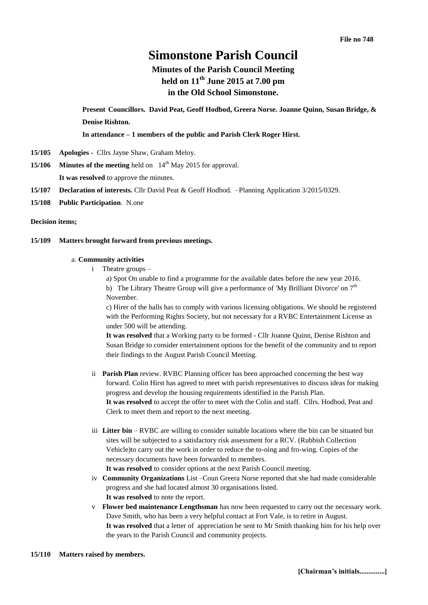# **Simonstone Parish Council**

# **Minutes of the Parish Council Meeting held on 11 th June 2015 at 7.00 pm in the Old School Simonstone.**

**Present Councillors. David Peat, Geoff Hodbod, Greera Norse. Joanne Quinn, Susan Bridge, & Denise Rishton.**

**In attendance – 1 members of the public and Parish Clerk Roger Hirst.** 

- **15/105 Apologies -** Cllrs Jayne Shaw, Graham Meloy.
- **15/106 Minutes of the meeting** held on 14<sup>th</sup> May 2015 for approval.

**It was resolved** to approve the minutes.

- **15/107 Declaration of interests.** Cllr David Peat & Geoff Hodbod. –Planning Application 3/2015/0329.
- **15/108 Public Participation**. N.one

**Decision items;**

#### **15/109 Matters brought forward from previous meetings.**

#### a. **Community activities**

i Theatre groups –

a) Spot On unable to find a programme for the available dates before the new year 2016. b) The Library Theatre Group will give a performance of 'My Brilliant Divorce' on  $7<sup>th</sup>$ November.

c) Hirer of the halls has to comply with various licensing obligations. We should be registered with the Performing Rights Society, but not necessary for a RVBC Entertainment License as under 500 will be attending.

**It was resolved** that a Working party to be formed - Cllr Joanne Quinn, Denise Rishton and Susan Bridge to consider entertainment options for the benefit of the community and to report their findings to the August Parish Council Meeting.

- ii **Parish Plan** review. RVBC Planning officer has been approached concerning the best way forward. Colin Hirst has agreed to meet with parish representatives to discuss ideas for making progress and develop the housing requirements identified in the Parish Plan. **It was resolved** to accept the offer to meet with the Colin and staff. Cllrs. Hodbod, Peat and Clerk to meet them and report to the next meeting.
- iii **Litter bin** RVBC are willing to consider suitable locations where the bin can be situated but sites will be subjected to a satisfactory risk assessment for a RCV. (Rubbish Collection Vehicle)to carry out the work in order to reduce the to-oing and fro-wing. Copies of the necessary documents have been forwarded to members. **It was resolved** to consider options at the next Parish Council meeting.
- iv **Community Organizations** List –Coun Greera Norse reported that she had made considerable progress and she had located almost 30 organisations listed. **It was resolved** to note the report.
- v **Flower bed maintenance Lengthsman** has now been requested to carry out the necessary work. Dave Smith, who has been a very helpful contact at Fort Vale, is to retire in August. **It was resolved** that a letter of appreciation be sent to Mr Smith thanking him for his help over the years to the Parish Council and community projects.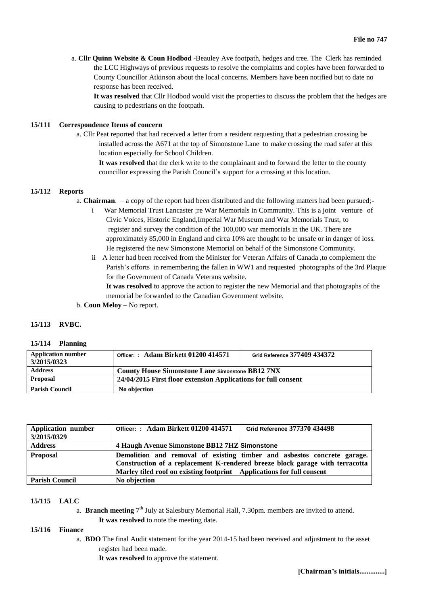a. **Cllr Quinn Website & Coun Hodbod** -Beauley Ave footpath, hedges and tree. The Clerk has reminded the LCC Highways of previous requests to resolve the complaints and copies have been forwarded to County Councillor Atkinson about the local concerns. Members have been notified but to date no response has been received.

**It was resolved** that Cllr Hodbod would visit the properties to discuss the problem that the hedges are causing to pedestrians on the footpath.

#### **15/111 Correspondence Items of concern**

a. Cllr Peat reported that had received a letter from a resident requesting that a pedestrian crossing be installed across the A671 at the top of Simonstone Lane to make crossing the road safer at this location especially for School Children.

**It was resolved** that the clerk write to the complainant and to forward the letter to the county councillor expressing the Parish Council's support for a crossing at this location.

#### **15/112 Reports**

a. **Chairman**. – a copy of the report had been distributed and the following matters had been pursued;-

- i War Memorial Trust Lancaster ;re War Memorials in Community. This is a joint venture of Civic Voices, Historic England,Imperial War Museum and War Memorials Trust, to register and survey the condition of the 100,000 war memorials in the UK. There are approximately 85,000 in England and circa 10% are thought to be unsafe or in danger of loss. He registered the new Simonstone Memorial on behalf of the Simonstone Community.
- ii A letter had been received from the Minister for Veteran Affairs of Canada ,to complement the Parish's efforts in remembering the fallen in WW1 and requested photographs of the 3rd Plaque for the Government of Canada Veterans website.

**It was resolved** to approve the action to register the new Memorial and that photographs of the memorial be forwarded to the Canadian Government website.

b. **Coun Meloy** – No report.

#### **15/113 RVBC.**

#### **15/114 Planning**

| <b>Application number</b><br>3/2015/0323 | Officer:: Adam Birkett 01200 414571                            | Grid Reference 377409 434372 |  |
|------------------------------------------|----------------------------------------------------------------|------------------------------|--|
| <b>Address</b>                           | <b>County House Simonstone Lane Simonstone BB12 7NX</b>        |                              |  |
| Proposal                                 | 24/04/2015 First floor extension Applications for full consent |                              |  |
| <b>Parish Council</b>                    | No objection                                                   |                              |  |

| <b>Application number</b> | Officer: : Adam Birkett 01200 414571                                         | Grid Reference 377370 434498 |  |  |
|---------------------------|------------------------------------------------------------------------------|------------------------------|--|--|
| 3/2015/0329               |                                                                              |                              |  |  |
| <b>Address</b>            | 4 Haugh Avenue Simonstone BB12 7HZ Simonstone                                |                              |  |  |
| <b>Proposal</b>           | Demolition and removal of existing timber and asbestos concrete garage.      |                              |  |  |
|                           | Construction of a replacement K-rendered breeze block garage with terracotta |                              |  |  |
|                           | Marley tiled roof on existing footprint Applications for full consent        |                              |  |  |
| <b>Parish Council</b>     | No objection                                                                 |                              |  |  |

#### **15/115 LALC**

a. Branch meeting 7<sup>th</sup> July at Salesbury Memorial Hall, 7.30pm. members are invited to attend. **It was resolved** to note the meeting date.

#### **15/116 Finance**

a. **BDO** The final Audit statement for the year 2014-15 had been received and adjustment to the asset register had been made.

**It was resolved** to approve the statement.